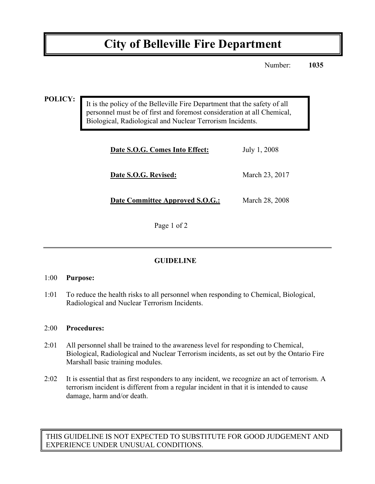# **City of Belleville Fire Department**

Number: **1035**

**POLICY:**

It is the policy of the Belleville Fire Department that the safety of all personnel must be of first and foremost consideration at all Chemical, Biological, Radiological and Nuclear Terrorism Incidents.

| Date S.O.G. Comes Into Effect:  | July 1, 2008   |
|---------------------------------|----------------|
| Date S.O.G. Revised:            | March 23, 2017 |
| Date Committee Approved S.O.G.: | March 28, 2008 |

Page 1 of 2

# **GUIDELINE**

### 1:00 **Purpose:**

1:01 To reduce the health risks to all personnel when responding to Chemical, Biological, Radiological and Nuclear Terrorism Incidents.

### 2:00 **Procedures:**

- 2:01 All personnel shall be trained to the awareness level for responding to Chemical, Biological, Radiological and Nuclear Terrorism incidents, as set out by the Ontario Fire Marshall basic training modules.
- 2:02 It is essential that as first responders to any incident, we recognize an act of terrorism. A terrorism incident is different from a regular incident in that it is intended to cause damage, harm and/or death.

THIS GUIDELINE IS NOT EXPECTED TO SUBSTITUTE FOR GOOD JUDGEMENT AND EXPERIENCE UNDER UNUSUAL CONDITIONS.